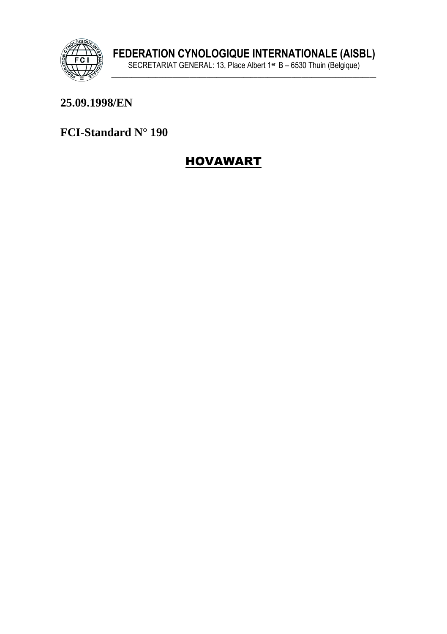

#### 25.09.1998/EN

FCI-Standard N° 190

# **HOVAWART**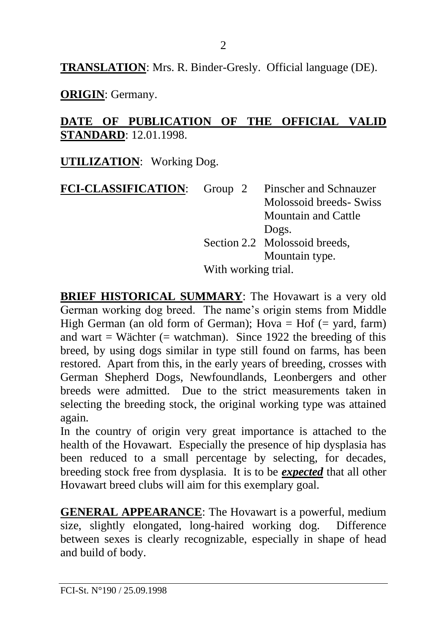**TRANSLATION**: Mrs. R. Binder-Gresly. Official language (DE).

**ORIGIN**: Germany.

#### **DATE OF PUBLICATION OF THE OFFICIAL VALID STANDARD**: 12.01.1998.

**UTILIZATION**: Working Dog.

| FCI-CLASSIFICATION: Group 2 |                     | Pinscher and Schnauzer        |
|-----------------------------|---------------------|-------------------------------|
|                             |                     | Molossoid breeds- Swiss       |
|                             |                     | Mountain and Cattle           |
|                             |                     | Dogs.                         |
|                             |                     | Section 2.2 Molossoid breeds, |
|                             |                     | Mountain type.                |
|                             | With working trial. |                               |

**BRIEF HISTORICAL SUMMARY**: The Hovawart is a very old German working dog breed. The name's origin stems from Middle High German (an old form of German); Hova = Hof  $(=$  yard, farm) and wart = Wächter (= watchman). Since 1922 the breeding of this breed, by using dogs similar in type still found on farms, has been restored. Apart from this, in the early years of breeding, crosses with German Shepherd Dogs, Newfoundlands, Leonbergers and other breeds were admitted. Due to the strict measurements taken in selecting the breeding stock, the original working type was attained again.

In the country of origin very great importance is attached to the health of the Hovawart. Especially the presence of hip dysplasia has been reduced to a small percentage by selecting, for decades, breeding stock free from dysplasia. It is to be *expected* that all other Hovawart breed clubs will aim for this exemplary goal.

**GENERAL APPEARANCE**: The Hovawart is a powerful, medium size, slightly elongated, long-haired working dog. Difference between sexes is clearly recognizable, especially in shape of head and build of body.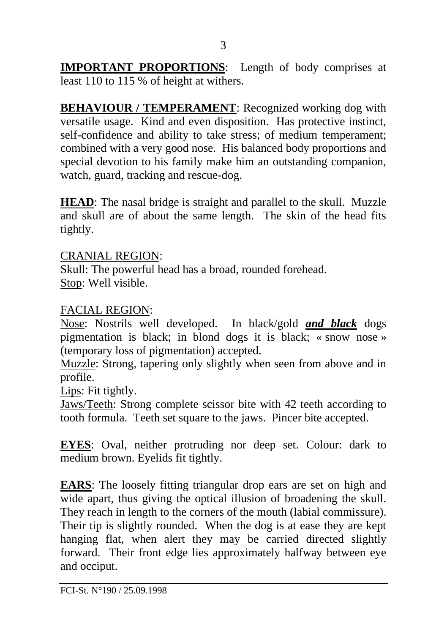**IMPORTANT PROPORTIONS**: Length of body comprises at least 110 to 115 % of height at withers.

**BEHAVIOUR / TEMPERAMENT:** Recognized working dog with versatile usage. Kind and even disposition. Has protective instinct, self-confidence and ability to take stress; of medium temperament; combined with a very good nose. His balanced body proportions and special devotion to his family make him an outstanding companion, watch, guard, tracking and rescue-dog.

**HEAD**: The nasal bridge is straight and parallel to the skull. Muzzle and skull are of about the same length. The skin of the head fits tightly.

CRANIAL REGION:

Skull: The powerful head has a broad, rounded forehead. Stop: Well visible.

#### FACIAL REGION:

Nose: Nostrils well developed. In black/gold *and black* dogs pigmentation is black; in blond dogs it is black; « snow nose » (temporary loss of pigmentation) accepted.

Muzzle: Strong, tapering only slightly when seen from above and in profile.

Lips: Fit tightly.

Jaws/Teeth: Strong complete scissor bite with 42 teeth according to tooth formula. Teeth set square to the jaws. Pincer bite accepted.

**EYES**: Oval, neither protruding nor deep set. Colour: dark to medium brown. Eyelids fit tightly.

**EARS**: The loosely fitting triangular drop ears are set on high and wide apart, thus giving the optical illusion of broadening the skull. They reach in length to the corners of the mouth (labial commissure). Their tip is slightly rounded. When the dog is at ease they are kept hanging flat, when alert they may be carried directed slightly forward. Their front edge lies approximately halfway between eye and occiput.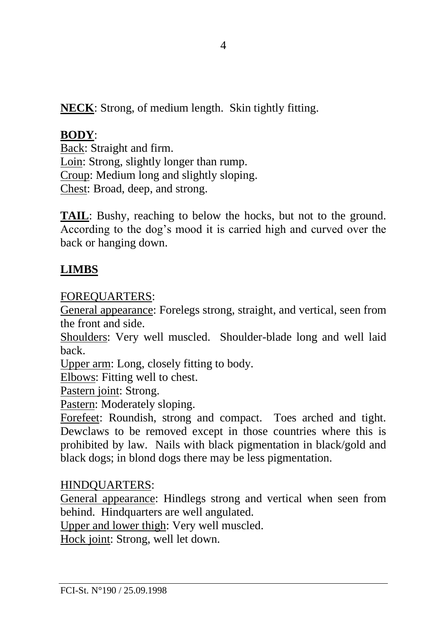**NECK**: Strong, of medium length. Skin tightly fitting.

# **BODY**:

Back: Straight and firm. Loin: Strong, slightly longer than rump. Croup: Medium long and slightly sloping. Chest: Broad, deep, and strong.

**TAIL**: Bushy, reaching to below the hocks, but not to the ground. According to the dog's mood it is carried high and curved over the back or hanging down.

# **LIMBS**

## FOREQUARTERS:

General appearance: Forelegs strong, straight, and vertical, seen from the front and side.

Shoulders: Very well muscled. Shoulder-blade long and well laid back.

Upper arm: Long, closely fitting to body.

Elbows: Fitting well to chest.

Pastern joint: Strong.

Pastern: Moderately sloping.

Forefeet: Roundish, strong and compact. Toes arched and tight. Dewclaws to be removed except in those countries where this is prohibited by law. Nails with black pigmentation in black/gold and black dogs; in blond dogs there may be less pigmentation.

## HINDQUARTERS:

General appearance: Hindlegs strong and vertical when seen from behind. Hindquarters are well angulated.

Upper and lower thigh: Very well muscled.

Hock joint: Strong, well let down.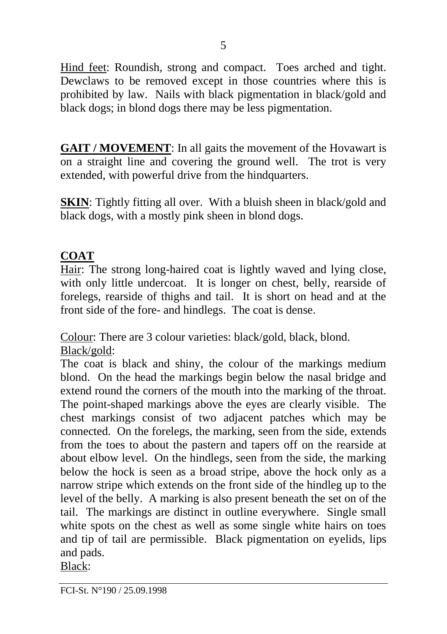Hind feet: Roundish, strong and compact. Toes arched and tight. Dewclaws to be removed except in those countries where this is prohibited by law. Nails with black pigmentation in black/gold and black dogs; in blond dogs there may be less pigmentation.

**GAIT / MOVEMENT**: In all gaits the movement of the Hovawart is on a straight line and covering the ground well. The trot is very extended, with powerful drive from the hindquarters.

**SKIN**: Tightly fitting all over. With a bluish sheen in black/gold and black dogs, with a mostly pink sheen in blond dogs.

#### **COAT**

Hair: The strong long-haired coat is lightly waved and lying close, with only little undercoat. It is longer on chest, belly, rearside of forelegs, rearside of thighs and tail. It is short on head and at the front side of the fore- and hindlegs. The coat is dense.

Colour: There are 3 colour varieties: black/gold, black, blond. Black/gold:

The coat is black and shiny, the colour of the markings medium blond. On the head the markings begin below the nasal bridge and extend round the corners of the mouth into the marking of the throat. The point-shaped markings above the eyes are clearly visible. The chest markings consist of two adjacent patches which may be connected. On the forelegs, the marking, seen from the side, extends from the toes to about the pastern and tapers off on the rearside at about elbow level. On the hindlegs, seen from the side, the marking below the hock is seen as a broad stripe, above the hock only as a narrow stripe which extends on the front side of the hindleg up to the level of the belly. A marking is also present beneath the set on of the tail. The markings are distinct in outline everywhere. Single small white spots on the chest as well as some single white hairs on toes and tip of tail are permissible. Black pigmentation on eyelids, lips and pads.

Black: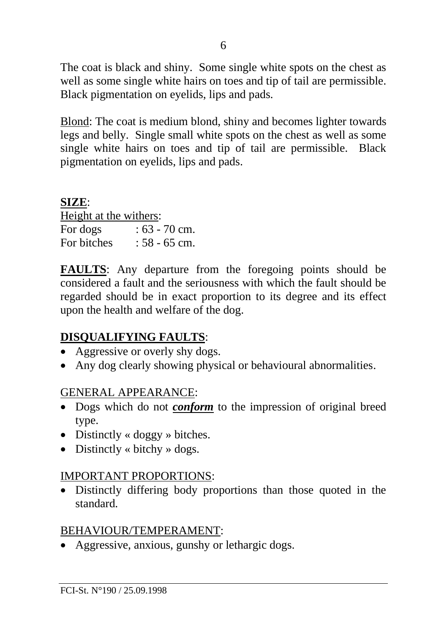The coat is black and shiny. Some single white spots on the chest as well as some single white hairs on toes and tip of tail are permissible. Black pigmentation on eyelids, lips and pads.

Blond: The coat is medium blond, shiny and becomes lighter towards legs and belly. Single small white spots on the chest as well as some single white hairs on toes and tip of tail are permissible. Black pigmentation on eyelids, lips and pads.

#### **SIZE**:

| Height at the withers: |                 |  |
|------------------------|-----------------|--|
| For dogs               | $:63 - 70$ cm.  |  |
| For bitches            | $: 58 - 65$ cm. |  |

**FAULTS**: Any departure from the foregoing points should be considered a fault and the seriousness with which the fault should be regarded should be in exact proportion to its degree and its effect upon the health and welfare of the dog.

#### **DISQUALIFYING FAULTS**:

- Aggressive or overly shy dogs.
- Any dog clearly showing physical or behavioural abnormalities.

#### GENERAL APPEARANCE:

- Dogs which do not *conform* to the impression of original breed type.
- Distinctly « doggy » bitches.
- Distinctly « bitchy » dogs.

#### IMPORTANT PROPORTIONS:

• Distinctly differing body proportions than those quoted in the standard.

#### BEHAVIOUR/TEMPERAMENT:

• Aggressive, anxious, gunshy or lethargic dogs.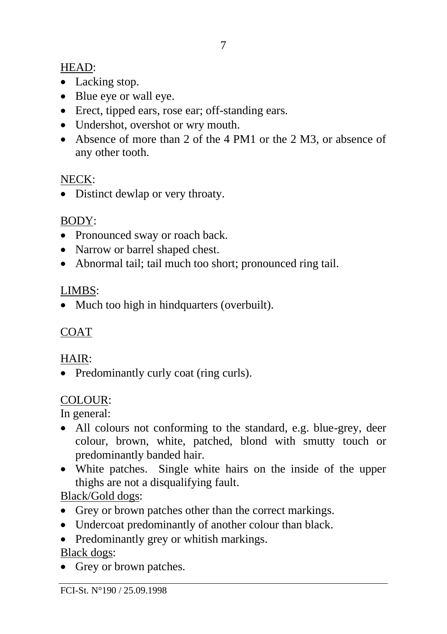#### HEAD:

- Lacking stop.
- Blue eye or wall eye.
- Erect, tipped ears, rose ear; off-standing ears.
- Undershot, overshot or wry mouth.
- Absence of more than 2 of the 4 PM1 or the 2 M3, or absence of any other tooth.

### NECK:

• Distinct dewlap or very throaty.

### BODY:

- Pronounced sway or roach back.
- Narrow or barrel shaped chest.
- Abnormal tail; tail much too short; pronounced ring tail.

### LIMBS:

• Much too high in hindquarters (overbuilt).

## COAT

## HAIR:

• Predominantly curly coat (ring curls).

### COLOUR:

In general:

- All colours not conforming to the standard, e.g. blue-grey, deer colour, brown, white, patched, blond with smutty touch or predominantly banded hair.
- White patches. Single white hairs on the inside of the upper thighs are not a disqualifying fault.

## Black/Gold dogs:

- Grey or brown patches other than the correct markings.
- Undercoat predominantly of another colour than black.
- Predominantly grey or whitish markings.

Black dogs:

• Grey or brown patches.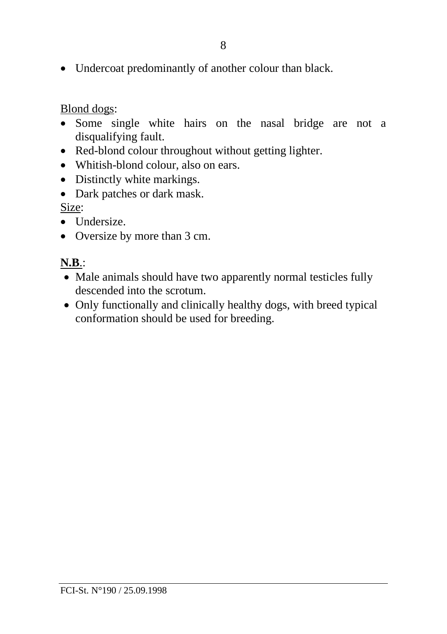• Undercoat predominantly of another colour than black.

Blond dogs:

- Some single white hairs on the nasal bridge are not a disqualifying fault.
- Red-blond colour throughout without getting lighter.
- Whitish-blond colour, also on ears.
- Distinctly white markings.
- Dark patches or dark mask.

Size:

- Undersize.
- Oversize by more than 3 cm.

# **N.B**.:

- Male animals should have two apparently normal testicles fully descended into the scrotum.
- Only functionally and clinically healthy dogs, with breed typical conformation should be used for breeding.